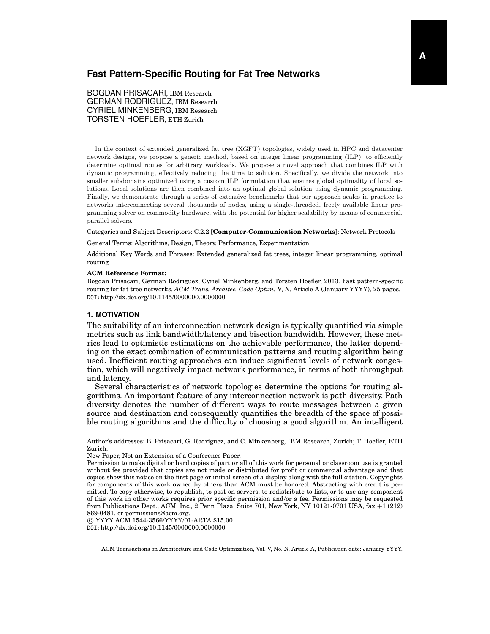# **Fast Pattern-Specific Routing for Fat Tree Networks**

BOGDAN PRISACARI, IBM Research GERMAN RODRIGUEZ, IBM Research CYRIEL MINKENBERG, IBM Research TORSTEN HOEFLER, ETH Zurich

In the context of extended generalized fat tree (XGFT) topologies, widely used in HPC and datacenter network designs, we propose a generic method, based on integer linear programming (ILP), to efficiently determine optimal routes for arbitrary workloads. We propose a novel approach that combines ILP with dynamic programming, effectively reducing the time to solution. Specifically, we divide the network into smaller subdomains optimized using a custom ILP formulation that ensures global optimality of local solutions. Local solutions are then combined into an optimal global solution using dynamic programming. Finally, we demonstrate through a series of extensive benchmarks that our approach scales in practice to networks interconnecting several thousands of nodes, using a single-threaded, freely available linear programming solver on commodity hardware, with the potential for higher scalability by means of commercial, parallel solvers.

Categories and Subject Descriptors: C.2.2 [**Computer-Communication Networks**]: Network Protocols

General Terms: Algorithms, Design, Theory, Performance, Experimentation

Additional Key Words and Phrases: Extended generalized fat trees, integer linear programming, optimal routing

#### **ACM Reference Format:**

Bogdan Prisacari, German Rodriguez, Cyriel Minkenberg, and Torsten Hoefler, 2013. Fast pattern-specific routing for fat tree networks. *ACM Trans. Architec. Code Optim.* V, N, Article A (January YYYY), 25 pages. DOI:http://dx.doi.org/10.1145/0000000.0000000

## **1. MOTIVATION**

The suitability of an interconnection network design is typically quantified via simple metrics such as link bandwidth/latency and bisection bandwidth. However, these metrics lead to optimistic estimations on the achievable performance, the latter depending on the exact combination of communication patterns and routing algorithm being used. Inefficient routing approaches can induce significant levels of network congestion, which will negatively impact network performance, in terms of both throughput and latency.

Several characteristics of network topologies determine the options for routing algorithms. An important feature of any interconnection network is path diversity. Path diversity denotes the number of different ways to route messages between a given source and destination and consequently quantifies the breadth of the space of possible routing algorithms and the difficulty of choosing a good algorithm. An intelligent

 c YYYY ACM 1544-3566/YYYY/01-ARTA \$15.00 DOI:http://dx.doi.org/10.1145/0000000.0000000

Author's addresses: B. Prisacari, G. Rodriguez, and C. Minkenberg, IBM Research, Zurich; T. Hoefler, ETH Zurich.

New Paper, Not an Extension of a Conference Paper.

Permission to make digital or hard copies of part or all of this work for personal or classroom use is granted without fee provided that copies are not made or distributed for profit or commercial advantage and that copies show this notice on the first page or initial screen of a display along with the full citation. Copyrights for components of this work owned by others than ACM must be honored. Abstracting with credit is permitted. To copy otherwise, to republish, to post on servers, to redistribute to lists, or to use any component of this work in other works requires prior specific permission and/or a fee. Permissions may be requested from Publications Dept., ACM, Inc., 2 Penn Plaza, Suite 701, New York, NY 10121-0701 USA, fax +1 (212) 869-0481, or permissions@acm.org.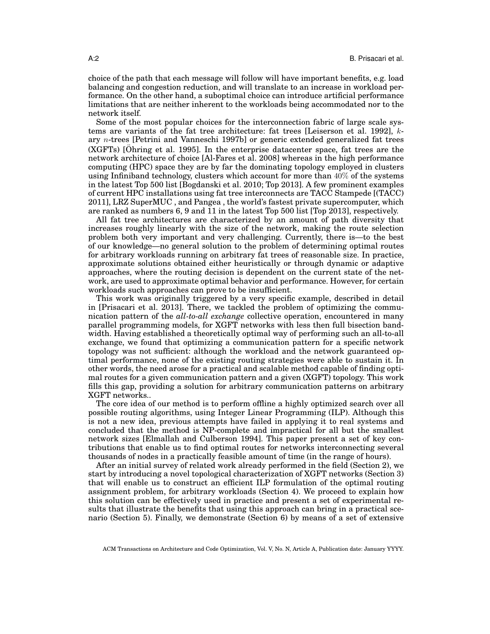choice of the path that each message will follow will have important benefits, e.g. load balancing and congestion reduction, and will translate to an increase in workload performance. On the other hand, a suboptimal choice can introduce artificial performance limitations that are neither inherent to the workloads being accommodated nor to the network itself.

Some of the most popular choices for the interconnection fabric of large scale systems are variants of the fat tree architecture: fat trees [Leiserson et al. 1992], kary n-trees [Petrini and Vanneschi 1997b] or generic extended generalized fat trees  $(XGFTs)$  [Öhring et al. 1995]. In the enterprise datacenter space, fat trees are the network architecture of choice [Al-Fares et al. 2008] whereas in the high performance computing (HPC) space they are by far the dominating topology employed in clusters using Infiniband technology, clusters which account for more than 40% of the systems in the latest Top 500 list [Bogdanski et al. 2010; Top 2013]. A few prominent examples of current HPC installations using fat tree interconnects are TACC Stampede [(TACC) 2011], LRZ SuperMUC , and Pangea , the world's fastest private supercomputer, which are ranked as numbers 6, 9 and 11 in the latest Top 500 list [Top 2013], respectively.

All fat tree architectures are characterized by an amount of path diversity that increases roughly linearly with the size of the network, making the route selection problem both very important and very challenging. Currently, there is—to the best of our knowledge—no general solution to the problem of determining optimal routes for arbitrary workloads running on arbitrary fat trees of reasonable size. In practice, approximate solutions obtained either heuristically or through dynamic or adaptive approaches, where the routing decision is dependent on the current state of the network, are used to approximate optimal behavior and performance. However, for certain workloads such approaches can prove to be insufficient.

This work was originally triggered by a very specific example, described in detail in [Prisacari et al. 2013]. There, we tackled the problem of optimizing the communication pattern of the *all-to-all exchange* collective operation, encountered in many parallel programming models, for XGFT networks with less then full bisection bandwidth. Having established a theoretically optimal way of performing such an all-to-all exchange, we found that optimizing a communication pattern for a specific network topology was not sufficient: although the workload and the network guaranteed optimal performance, none of the existing routing strategies were able to sustain it. In other words, the need arose for a practical and scalable method capable of finding optimal routes for a given communication pattern and a given (XGFT) topology. This work fills this gap, providing a solution for arbitrary communication patterns on arbitrary XGFT networks..

The core idea of our method is to perform offline a highly optimized search over all possible routing algorithms, using Integer Linear Programming (ILP). Although this is not a new idea, previous attempts have failed in applying it to real systems and concluded that the method is NP-complete and impractical for all but the smallest network sizes [Elmallah and Culberson 1994]. This paper present a set of key contributions that enable us to find optimal routes for networks interconnecting several thousands of nodes in a practically feasible amount of time (in the range of hours).

After an initial survey of related work already performed in the field (Section 2), we start by introducing a novel topological characterization of XGFT networks (Section 3) that will enable us to construct an efficient ILP formulation of the optimal routing assignment problem, for arbitrary workloads (Section 4). We proceed to explain how this solution can be effectively used in practice and present a set of experimental results that illustrate the benefits that using this approach can bring in a practical scenario (Section 5). Finally, we demonstrate (Section 6) by means of a set of extensive

ACM Transactions on Architecture and Code Optimization, Vol. V, No. N, Article A, Publication date: January YYYY.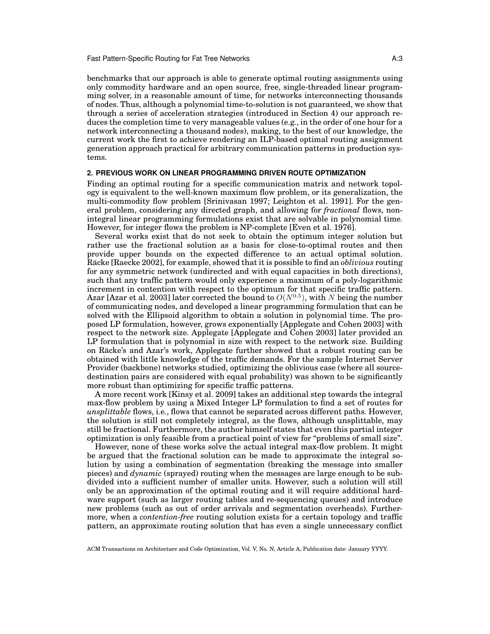Fast Pattern-Specific Routing for Fat Tree Networks **A:3** A:3

benchmarks that our approach is able to generate optimal routing assignments using only commodity hardware and an open source, free, single-threaded linear programming solver, in a reasonable amount of time, for networks interconnecting thousands of nodes. Thus, although a polynomial time-to-solution is not guaranteed, we show that through a series of acceleration strategies (introduced in Section 4) our approach reduces the completion time to very manageable values (e.g., in the order of one hour for a network interconnecting a thousand nodes), making, to the best of our knowledge, the current work the first to achieve rendering an ILP-based optimal routing assignment generation approach practical for arbitrary communication patterns in production systems.

## **2. PREVIOUS WORK ON LINEAR PROGRAMMING DRIVEN ROUTE OPTIMIZATION**

Finding an optimal routing for a specific communication matrix and network topology is equivalent to the well-known maximum flow problem, or its generalization, the multi-commodity flow problem [Srinivasan 1997; Leighton et al. 1991]. For the general problem, considering any directed graph, and allowing for *fractional* flows, nonintegral linear programming formulations exist that are solvable in polynomial time. However, for integer flows the problem is NP-complete [Even et al. 1976].

Several works exist that do not seek to obtain the optimum integer solution but rather use the fractional solution as a basis for close-to-optimal routes and then provide upper bounds on the expected difference to an actual optimal solution. Racke [Raecke 2002], for example, showed that it is possible to find an *oblivious* routing for any symmetric network (undirected and with equal capacities in both directions), such that any traffic pattern would only experience a maximum of a poly-logarithmic increment in contention with respect to the optimum for that specific traffic pattern. Azar [Azar et al. 2003] later corrected the bound to  $O(N^{0.5})$ , with N being the number of communicating nodes, and developed a linear programming formulation that can be solved with the Ellipsoid algorithm to obtain a solution in polynomial time. The proposed LP formulation, however, grows exponentially [Applegate and Cohen 2003] with respect to the network size. Applegate [Applegate and Cohen 2003] later provided an LP formulation that is polynomial in size with respect to the network size. Building on Räcke's and Azar's work, Applegate further showed that a robust routing can be obtained with little knowledge of the traffic demands. For the sample Internet Server Provider (backbone) networks studied, optimizing the oblivious case (where all sourcedestination pairs are considered with equal probability) was shown to be significantly more robust than optimizing for specific traffic patterns.

A more recent work [Kinsy et al. 2009] takes an additional step towards the integral max-flow problem by using a Mixed Integer LP formulation to find a set of routes for *unsplittable* flows, i.e., flows that cannot be separated across different paths. However, the solution is still not completely integral, as the flows, although unsplittable, may still be fractional. Furthermore, the author himself states that even this partial integer optimization is only feasible from a practical point of view for "problems of small size".

However, none of these works solve the actual integral max-flow problem. It might be argued that the fractional solution can be made to approximate the integral solution by using a combination of segmentation (breaking the message into smaller pieces) and *dynamic* (sprayed) routing when the messages are large enough to be subdivided into a sufficient number of smaller units. However, such a solution will still only be an approximation of the optimal routing and it will require additional hardware support (such as larger routing tables and re-sequencing queues) and introduce new problems (such as out of order arrivals and segmentation overheads). Furthermore, when a *contention-free* routing solution exists for a certain topology and traffic pattern, an approximate routing solution that has even a single unnecessary conflict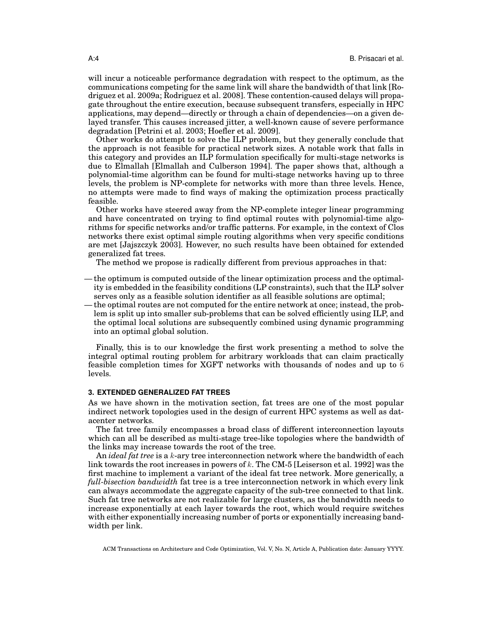will incur a noticeable performance degradation with respect to the optimum, as the communications competing for the same link will share the bandwidth of that link [Rodriguez et al. 2009a; Rodriguez et al. 2008]. These contention-caused delays will propagate throughout the entire execution, because subsequent transfers, especially in HPC applications, may depend—directly or through a chain of dependencies—on a given delayed transfer. This causes increased jitter, a well-known cause of severe performance degradation [Petrini et al. 2003; Hoefler et al. 2009].

Other works do attempt to solve the ILP problem, but they generally conclude that the approach is not feasible for practical network sizes. A notable work that falls in this category and provides an ILP formulation specifically for multi-stage networks is due to Elmallah [Elmallah and Culberson 1994]. The paper shows that, although a polynomial-time algorithm can be found for multi-stage networks having up to three levels, the problem is NP-complete for networks with more than three levels. Hence, no attempts were made to find ways of making the optimization process practically feasible.

Other works have steered away from the NP-complete integer linear programming and have concentrated on trying to find optimal routes with polynomial-time algorithms for specific networks and/or traffic patterns. For example, in the context of Clos networks there exist optimal simple routing algorithms when very specific conditions are met [Jajszczyk 2003]. However, no such results have been obtained for extended generalized fat trees.

The method we propose is radically different from previous approaches in that:

- the optimum is computed outside of the linear optimization process and the optimality is embedded in the feasibility conditions (LP constraints), such that the ILP solver serves only as a feasible solution identifier as all feasible solutions are optimal;
- the optimal routes are not computed for the entire network at once; instead, the problem is split up into smaller sub-problems that can be solved efficiently using ILP, and the optimal local solutions are subsequently combined using dynamic programming into an optimal global solution.

Finally, this is to our knowledge the first work presenting a method to solve the integral optimal routing problem for arbitrary workloads that can claim practically feasible completion times for XGFT networks with thousands of nodes and up to 6 levels.

#### **3. EXTENDED GENERALIZED FAT TREES**

As we have shown in the motivation section, fat trees are one of the most popular indirect network topologies used in the design of current HPC systems as well as datacenter networks.

The fat tree family encompasses a broad class of different interconnection layouts which can all be described as multi-stage tree-like topologies where the bandwidth of the links may increase towards the root of the tree.

An *ideal fat tree* is a k-ary tree interconnection network where the bandwidth of each link towards the root increases in powers of k. The CM-5 [Leiserson et al. 1992] was the first machine to implement a variant of the ideal fat tree network. More generically, a *full-bisection bandwidth* fat tree is a tree interconnection network in which every link can always accommodate the aggregate capacity of the sub-tree connected to that link. Such fat tree networks are not realizable for large clusters, as the bandwidth needs to increase exponentially at each layer towards the root, which would require switches with either exponentially increasing number of ports or exponentially increasing bandwidth per link.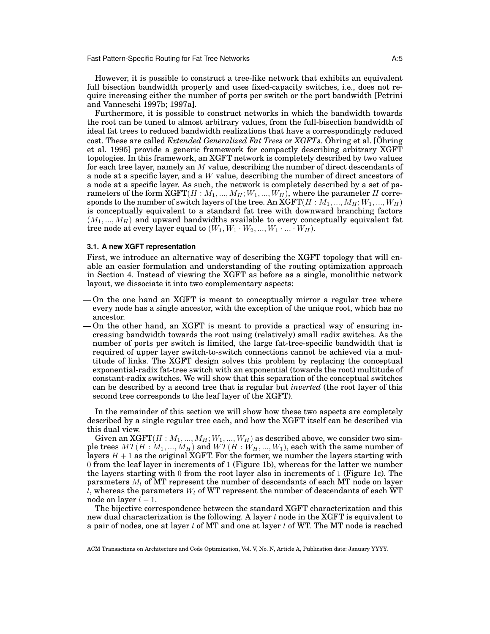Fast Pattern-Specific Routing for Fat Tree Networks **A:5** A:5

However, it is possible to construct a tree-like network that exhibits an equivalent full bisection bandwidth property and uses fixed-capacity switches, i.e., does not require increasing either the number of ports per switch or the port bandwidth [Petrini and Vanneschi 1997b; 1997a].

Furthermore, it is possible to construct networks in which the bandwidth towards the root can be tuned to almost arbitrary values, from the full-bisection bandwidth of ideal fat trees to reduced bandwidth realizations that have a correspondingly reduced cost. These are called *Extended Generalized Fat Trees* or *XGFTs*. Ohring et al. [Ohring et al. 1995] provide a generic framework for compactly describing arbitrary XGFT topologies. In this framework, an XGFT network is completely described by two values for each tree layer, namely an M value, describing the number of direct descendants of a node at a specific layer, and a W value, describing the number of direct ancestors of a node at a specific layer. As such, the network is completely described by a set of parameters of the form  $XGFT(H : M_1, ..., M_H; W_1, ..., W_H)$ , where the parameter H corresponds to the number of switch layers of the tree. An  $XGFT(H : M_1, ..., M_H; W_1, ..., W_H)$ is conceptually equivalent to a standard fat tree with downward branching factors  $(M_1, ..., M_H)$  and upward bandwidths available to every conceptually equivalent fat tree node at every layer equal to  $(W_1, W_1 \cdot W_2, ..., W_1 \cdot ... \cdot W_H)$ .

### **3.1. A new XGFT representation**

First, we introduce an alternative way of describing the XGFT topology that will enable an easier formulation and understanding of the routing optimization approach in Section 4. Instead of viewing the XGFT as before as a single, monolithic network layout, we dissociate it into two complementary aspects:

- On the one hand an XGFT is meant to conceptually mirror a regular tree where every node has a single ancestor, with the exception of the unique root, which has no ancestor.
- On the other hand, an XGFT is meant to provide a practical way of ensuring increasing bandwidth towards the root using (relatively) small radix switches. As the number of ports per switch is limited, the large fat-tree-specific bandwidth that is required of upper layer switch-to-switch connections cannot be achieved via a multitude of links. The XGFT design solves this problem by replacing the conceptual exponential-radix fat-tree switch with an exponential (towards the root) multitude of constant-radix switches. We will show that this separation of the conceptual switches can be described by a second tree that is regular but *inverted* (the root layer of this second tree corresponds to the leaf layer of the XGFT).

In the remainder of this section we will show how these two aspects are completely described by a single regular tree each, and how the XGFT itself can be described via this dual view.

Given an  $XGFT(H : M_1, ..., M_H; W_1, ..., W_H)$  as described above, we consider two simple trees  $MT(H : M_1, ..., M_H)$  and  $WT(H : W_H, ..., W_1)$ , each with the same number of layers  $H + 1$  as the original XGFT. For the former, we number the layers starting with 0 from the leaf layer in increments of 1 (Figure 1b), whereas for the latter we number the layers starting with 0 from the root layer also in increments of 1 (Figure 1c). The parameters  $M_l$  of MT represent the number of descendants of each MT node on layer l, whereas the parameters  $W_l$  of WT represent the number of descendants of each WT node on layer  $l - 1$ .

The bijective correspondence between the standard XGFT characterization and this new dual characterization is the following. A layer  $l$  node in the XGFT is equivalent to a pair of nodes, one at layer l of MT and one at layer l of WT. The MT node is reached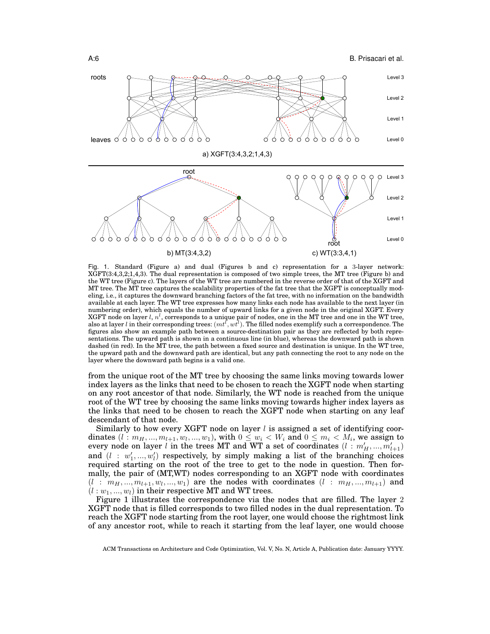

Fig. 1. Standard (Figure a) and dual (Figures b and c) representation for a 3-layer network: XGFT(3:4,3,2;1,4,3). The dual representation is composed of two simple trees, the MT tree (Figure b) and the WT tree (Figure c). The layers of the WT tree are numbered in the reverse order of that of the XGFT and MT tree. The MT tree captures the scalability properties of the fat tree that the XGFT is conceptually modeling, i.e., it captures the downward branching factors of the fat tree, with no information on the bandwidth available at each layer. The WT tree expresses how many links each node has available to the next layer (in numbering order), which equals the number of upward links for a given node in the original XGFT. Every XGFT node on layer  $l, n^l$ , corresponds to a unique pair of nodes, one in the MT tree and one in the WT tree,<br>also at layer  $l$  in their corresponding trees:  $(mt^l, wt^l)$ . The filled nodes exemplify such a correspondence. T figures also show an example path between a source-destination pair as they are reflected by both representations. The upward path is shown in a continuous line (in blue), whereas the downward path is shown dashed (in red). In the MT tree, the path between a fixed source and destination is unique. In the WT tree, the upward path and the downward path are identical, but any path connecting the root to any node on the layer where the downward path begins is a valid one.

from the unique root of the MT tree by choosing the same links moving towards lower index layers as the links that need to be chosen to reach the XGFT node when starting on any root ancestor of that node. Similarly, the WT node is reached from the unique root of the WT tree by choosing the same links moving towards higher index layers as the links that need to be chosen to reach the XGFT node when starting on any leaf descendant of that node.

Similarly to how every XGFT node on layer  $l$  is assigned a set of identifying coordinates  $(l:m_H,...,m_{l+1},w_l,...,w_1),$  with  $0\leq w_i < W_i$  and  $0\leq m_i < M_i,$  we assign to every node on layer  $l$  in the trees MT and WT a set of coordinates  $(l : m_H', ..., m_{l+1}')$ and  $(l : w'_1, ..., w'_l)$  respectively, by simply making a list of the branching choices required starting on the root of the tree to get to the node in question. Then formally, the pair of (MT,WT) nodes corresponding to an XGFT node with coordinates  $(l : m_H, ..., m_{l+1}, w_l, ..., w_1)$  are the nodes with coordinates  $(l : m_H, ..., m_{l+1})$  and  $(l:w_1,...,w_l)$  in their respective MT and WT trees.

Figure 1 illustrates the correspondence via the nodes that are filled. The layer 2 XGFT node that is filled corresponds to two filled nodes in the dual representation. To reach the XGFT node starting from the root layer, one would choose the rightmost link of any ancestor root, while to reach it starting from the leaf layer, one would choose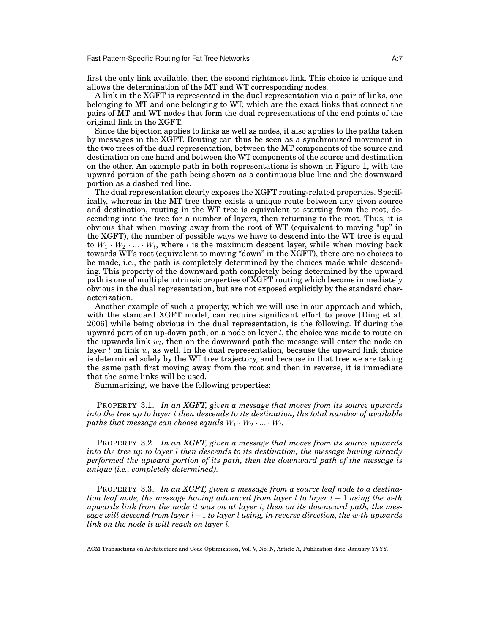Fast Pattern-Specific Routing for Fat Tree Networks **A:7** A:7

first the only link available, then the second rightmost link. This choice is unique and allows the determination of the MT and WT corresponding nodes.

A link in the XGFT is represented in the dual representation via a pair of links, one belonging to MT and one belonging to WT, which are the exact links that connect the pairs of MT and WT nodes that form the dual representations of the end points of the original link in the XGFT.

Since the bijection applies to links as well as nodes, it also applies to the paths taken by messages in the XGFT. Routing can thus be seen as a synchronized movement in the two trees of the dual representation, between the MT components of the source and destination on one hand and between the WT components of the source and destination on the other. An example path in both representations is shown in Figure 1, with the upward portion of the path being shown as a continuous blue line and the downward portion as a dashed red line.

The dual representation clearly exposes the XGFT routing-related properties. Specifically, whereas in the MT tree there exists a unique route between any given source and destination, routing in the WT tree is equivalent to starting from the root, descending into the tree for a number of layers, then returning to the root. Thus, it is obvious that when moving away from the root of WT (equivalent to moving "up" in the XGFT), the number of possible ways we have to descend into the WT tree is equal to  $W_1 \cdot W_2 \cdot ... \cdot W_l$ , where l is the maximum descent layer, while when moving back towards WT's root (equivalent to moving "down" in the XGFT), there are no choices to be made, i.e., the path is completely determined by the choices made while descending. This property of the downward path completely being determined by the upward path is one of multiple intrinsic properties of XGFT routing which become immediately obvious in the dual representation, but are not exposed explicitly by the standard characterization.

Another example of such a property, which we will use in our approach and which, with the standard XGFT model, can require significant effort to prove [Ding et al. 2006] while being obvious in the dual representation, is the following. If during the upward part of an up-down path, on a node on layer  $l$ , the choice was made to route on the upwards link  $w_l$ , then on the downward path the message will enter the node on layer l on link  $w_l$  as well. In the dual representation, because the upward link choice is determined solely by the WT tree trajectory, and because in that tree we are taking the same path first moving away from the root and then in reverse, it is immediate that the same links will be used.

Summarizing, we have the following properties:

PROPERTY 3.1. *In an XGFT, given a message that moves from its source upwards into the tree up to layer* l *then descends to its destination, the total number of available* paths that message can choose equals  $W_1 \cdot W_2 \cdot ... \cdot W_l$ .

PROPERTY 3.2. *In an XGFT, given a message that moves from its source upwards into the tree up to layer* l *then descends to its destination, the message having already performed the upward portion of its path, then the downward path of the message is unique (i.e., completely determined).*

PROPERTY 3.3. *In an XGFT, given a message from a source leaf node to a destination leaf node, the message having advanced from layer*  $l$  to layer  $l + 1$  *using the* w-th *upwards link from the node it was on at layer* l*, then on its downward path, the message will descend from layer* l+ 1 *to layer* l *using, in reverse direction, the* w*-th upwards link on the node it will reach on layer* l*.*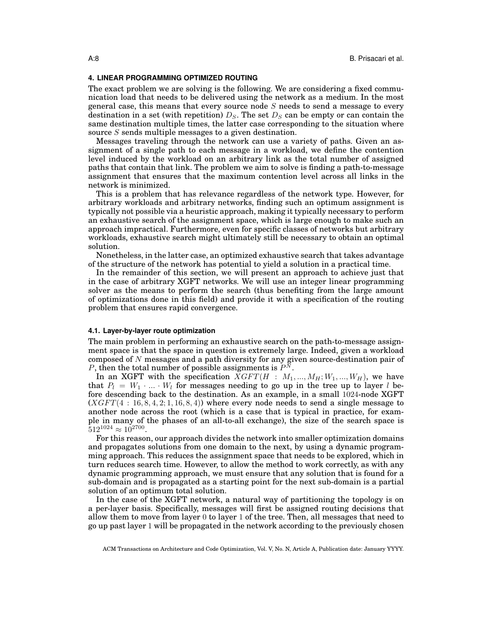### **4. LINEAR PROGRAMMING OPTIMIZED ROUTING**

The exact problem we are solving is the following. We are considering a fixed communication load that needs to be delivered using the network as a medium. In the most general case, this means that every source node  $S$  needs to send a message to every destination in a set (with repetition)  $D<sub>S</sub>$ . The set  $D<sub>S</sub>$  can be empty or can contain the same destination multiple times, the latter case corresponding to the situation where source S sends multiple messages to a given destination.

Messages traveling through the network can use a variety of paths. Given an assignment of a single path to each message in a workload, we define the contention level induced by the workload on an arbitrary link as the total number of assigned paths that contain that link. The problem we aim to solve is finding a path-to-message assignment that ensures that the maximum contention level across all links in the network is minimized.

This is a problem that has relevance regardless of the network type. However, for arbitrary workloads and arbitrary networks, finding such an optimum assignment is typically not possible via a heuristic approach, making it typically necessary to perform an exhaustive search of the assignment space, which is large enough to make such an approach impractical. Furthermore, even for specific classes of networks but arbitrary workloads, exhaustive search might ultimately still be necessary to obtain an optimal solution.

Nonetheless, in the latter case, an optimized exhaustive search that takes advantage of the structure of the network has potential to yield a solution in a practical time.

In the remainder of this section, we will present an approach to achieve just that in the case of arbitrary XGFT networks. We will use an integer linear programming solver as the means to perform the search (thus benefiting from the large amount of optimizations done in this field) and provide it with a specification of the routing problem that ensures rapid convergence.

#### **4.1. Layer-by-layer route optimization**

The main problem in performing an exhaustive search on the path-to-message assignment space is that the space in question is extremely large. Indeed, given a workload composed of N messages and a path diversity for any given source-destination pair of P, then the total number of possible assignments is  $P^{\bar{N}}$ .

In an XGFT with the specification  $XGFT(H : M_1, ..., M_H; W_1, ..., W_H)$ , we have that  $P_l = W_1 \cdot ... \cdot W_l$  for messages needing to go up in the tree up to layer l before descending back to the destination. As an example, in a small 1024-node XGFT  $(XGFT(4: 16, 8, 4, 2; 1, 16, 8, 4))$  where every node needs to send a single message to another node across the root (which is a case that is typical in practice, for example in many of the phases of an all-to-all exchange), the size of the search space is  $512^{1024} \approx 10^{2700}$ .

For this reason, our approach divides the network into smaller optimization domains and propagates solutions from one domain to the next, by using a dynamic programming approach. This reduces the assignment space that needs to be explored, which in turn reduces search time. However, to allow the method to work correctly, as with any dynamic programming approach, we must ensure that any solution that is found for a sub-domain and is propagated as a starting point for the next sub-domain is a partial solution of an optimum total solution.

In the case of the XGFT network, a natural way of partitioning the topology is on a per-layer basis. Specifically, messages will first be assigned routing decisions that allow them to move from layer  $0$  to layer 1 of the tree. Then, all messages that need to go up past layer 1 will be propagated in the network according to the previously chosen

ACM Transactions on Architecture and Code Optimization, Vol. V, No. N, Article A, Publication date: January YYYY.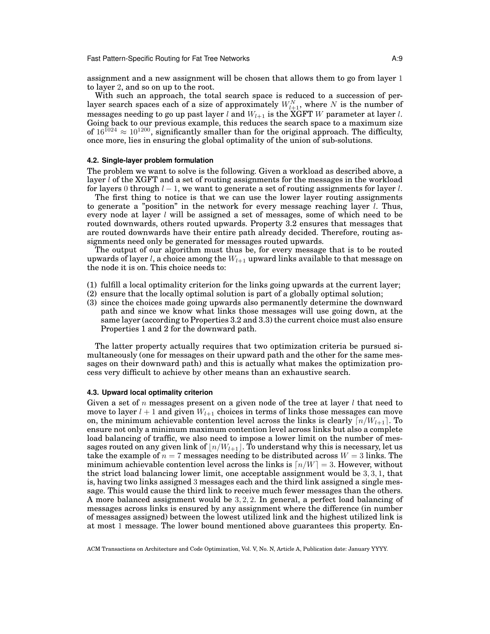assignment and a new assignment will be chosen that allows them to go from layer 1 to layer 2, and so on up to the root.

With such an approach, the total search space is reduced to a succession of perlayer search spaces each of a size of approximately  $W^N_{l+1},$  where  $N$  is the number of messages needing to go up past layer l and  $W_{l+1}$  is the XGFT W parameter at layer l. Going back to our previous example, this reduces the search space to a maximum size of  $16^{1024} \approx 10^{1200}$ , significantly smaller than for the original approach. The difficulty, once more, lies in ensuring the global optimality of the union of sub-solutions.

#### **4.2. Single-layer problem formulation**

The problem we want to solve is the following. Given a workload as described above, a layer  $l$  of the XGFT and a set of routing assignments for the messages in the workload for layers 0 through  $l - 1$ , we want to generate a set of routing assignments for layer l.

The first thing to notice is that we can use the lower layer routing assignments to generate a "position" in the network for every message reaching layer  $l$ . Thus, every node at layer  $l$  will be assigned a set of messages, some of which need to be routed downwards, others routed upwards. Property 3.2 ensures that messages that are routed downwards have their entire path already decided. Therefore, routing assignments need only be generated for messages routed upwards.

The output of our algorithm must thus be, for every message that is to be routed upwards of layer l, a choice among the  $W_{l+1}$  upward links available to that message on the node it is on. This choice needs to:

- (1) fulfill a local optimality criterion for the links going upwards at the current layer;
- (2) ensure that the locally optimal solution is part of a globally optimal solution;
- (3) since the choices made going upwards also permanently determine the downward path and since we know what links those messages will use going down, at the same layer (according to Properties 3.2 and 3.3) the current choice must also ensure Properties 1 and 2 for the downward path.

The latter property actually requires that two optimization criteria be pursued simultaneously (one for messages on their upward path and the other for the same messages on their downward path) and this is actually what makes the optimization process very difficult to achieve by other means than an exhaustive search.

#### **4.3. Upward local optimality criterion**

Given a set of n messages present on a given node of the tree at layer l that need to move to layer  $l + 1$  and given  $W_{l+1}$  choices in terms of links those messages can move on, the minimum achievable contention level across the links is clearly  $\lceil n/W_{l+1} \rceil$ . To ensure not only a minimum maximum contention level across links but also a complete load balancing of traffic, we also need to impose a lower limit on the number of messages routed on any given link of  $\vert n/W_{l+1}\vert$ . To understand why this is necessary, let us take the example of  $n = 7$  messages needing to be distributed across  $W = 3$  links. The minimum achievable contention level across the links is  $\lfloor n/W \rfloor = 3$ . However, without the strict load balancing lower limit, one acceptable assignment would be 3, 3, 1, that is, having two links assigned 3 messages each and the third link assigned a single message. This would cause the third link to receive much fewer messages than the others. A more balanced assignment would be 3, 2, 2. In general, a perfect load balancing of messages across links is ensured by any assignment where the difference (in number of messages assigned) between the lowest utilized link and the highest utilized link is at most 1 message. The lower bound mentioned above guarantees this property. En-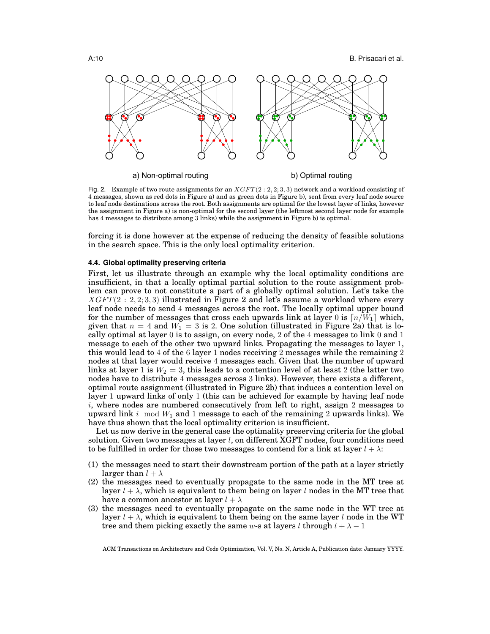

Fig. 2. Example of two route assignments for an  $XGFT(2: 2, 2, 3, 3)$  network and a workload consisting of 4 messages, shown as red dots in Figure a) and as green dots in Figure b), sent from every leaf node source to leaf node destinations across the root. Both assignments are optimal for the lowest layer of links, however the assignment in Figure a) is non-optimal for the second layer (the leftmost second layer node for example has 4 messages to distribute among 3 links) while the assignment in Figure b) is optimal.

forcing it is done however at the expense of reducing the density of feasible solutions in the search space. This is the only local optimality criterion.

## **4.4. Global optimality preserving criteria**

First, let us illustrate through an example why the local optimality conditions are insufficient, in that a locally optimal partial solution to the route assignment problem can prove to not constitute a part of a globally optimal solution. Let's take the  $XGFT(2: 2, 2, 3, 3)$  illustrated in Figure 2 and let's assume a workload where every leaf node needs to send 4 messages across the root. The locally optimal upper bound for the number of messages that cross each upwards link at layer 0 is  $\lceil n/W_1 \rceil$  which, given that  $n = 4$  and  $W_1 = 3$  is 2. One solution (illustrated in Figure 2a) that is locally optimal at layer  $0$  is to assign, on every node,  $2$  of the  $4$  messages to link  $0$  and  $1$ message to each of the other two upward links. Propagating the messages to layer 1, this would lead to 4 of the 6 layer 1 nodes receiving 2 messages while the remaining 2 nodes at that layer would receive 4 messages each. Given that the number of upward links at layer 1 is  $W_2 = 3$ , this leads to a contention level of at least 2 (the latter two nodes have to distribute 4 messages across 3 links). However, there exists a different, optimal route assignment (illustrated in Figure 2b) that induces a contention level on layer 1 upward links of only 1 (this can be achieved for example by having leaf node i, where nodes are numbered consecutively from left to right, assign 2 messages to upward link i mod  $W_1$  and 1 message to each of the remaining 2 upwards links). We have thus shown that the local optimality criterion is insufficient.

Let us now derive in the general case the optimality preserving criteria for the global solution. Given two messages at layer  $l$ , on different XGFT nodes, four conditions need to be fulfilled in order for those two messages to contend for a link at layer  $l + \lambda$ :

- (1) the messages need to start their downstream portion of the path at a layer strictly larger than  $l + \lambda$
- (2) the messages need to eventually propagate to the same node in the MT tree at layer  $l + \lambda$ , which is equivalent to them being on layer l nodes in the MT tree that have a common ancestor at layer  $l + \lambda$
- (3) the messages need to eventually propagate on the same node in the WT tree at layer  $l + \lambda$ , which is equivalent to them being on the same layer l node in the WT tree and them picking exactly the same w-s at layers l through  $l + \lambda - 1$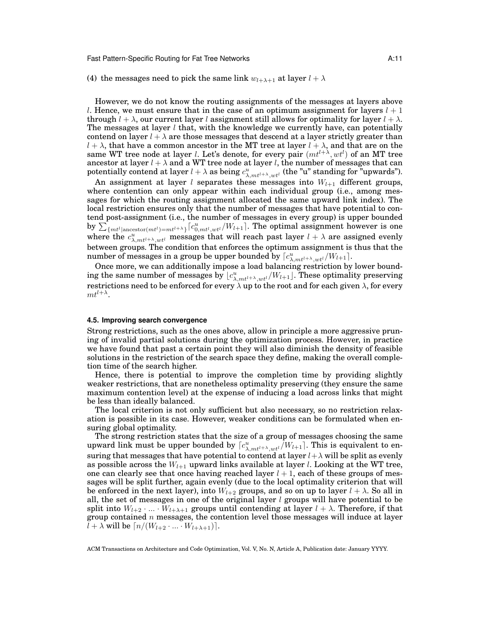Fast Pattern-Specific Routing for Fat Tree Networks A:11

(4) the messages need to pick the same link  $w_{l+\lambda+1}$  at layer  $l + \lambda$ 

However, we do not know the routing assignments of the messages at layers above l. Hence, we must ensure that in the case of an optimum assignment for layers  $l + 1$ through  $l + \lambda$ , our current layer l assignment still allows for optimality for layer  $l + \lambda$ . The messages at layer  $l$  that, with the knowledge we currently have, can potentially contend on layer  $l + \lambda$  are those messages that descend at a layer strictly greater than  $l + \lambda$ , that have a common ancestor in the MT tree at layer  $l + \lambda$ , and that are on the same WT tree node at layer *l*. Let's denote, for every pair  $(mt^{l+\lambda}, wt^{l})$  of an MT tree ancestor at layer  $l + \lambda$  and a WT tree node at layer l, the number of messages that can potentially contend at layer  $l+\lambda$  as being  $c^u_{\lambda,mt^{l+\lambda},wt^{l}}$  (the "u" standing for "upwards").

An assignment at layer l separates these messages into  $W_{l+1}$  different groups, where contention can only appear within each individual group (i.e., among messages for which the routing assignment allocated the same upward link index). The local restriction ensures only that the number of messages that have potential to contend post-assignment (i.e., the number of messages in every group) is upper bounded by  $\sum_{\{mt^l | \text{ancestor}(mt^l)=mt^{l+\lambda}\}}$   $\lceil c^u_{0,mt^l,wt^l}/W_{l+1}\rceil$ . The optimal assignment however is one where the  $c_{\lambda,mt^{l+\lambda},wt^{l}}^u$  messages that will reach past layer  $l+\lambda$  are assigned evenly between groups. The condition that enforces the optimum assignment is thus that the number of messages in a group be upper bounded by  $\lceil c^u_{\lambda,mt^{l+\lambda},wt^{l}}/W_{l+1} \rceil.$ 

Once more, we can additionally impose a load balancing restriction by lower bounding the same number of messages by  $\lfloor c_{\lambda,m t^{l+\lambda},wt^{l}}^{u}/W_{l+1}\rfloor$ . These optimality preserving restrictions need to be enforced for every  $\lambda$  up to the root and for each given  $\lambda$ , for every  $m t^{l+\lambda}$ .

### **4.5. Improving search convergence**

Strong restrictions, such as the ones above, allow in principle a more aggressive pruning of invalid partial solutions during the optimization process. However, in practice we have found that past a certain point they will also diminish the density of feasible solutions in the restriction of the search space they define, making the overall completion time of the search higher.

Hence, there is potential to improve the completion time by providing slightly weaker restrictions, that are nonetheless optimality preserving (they ensure the same maximum contention level) at the expense of inducing a load across links that might be less than ideally balanced.

The local criterion is not only sufficient but also necessary, so no restriction relaxation is possible in its case. However, weaker conditions can be formulated when ensuring global optimality.

The strong restriction states that the size of a group of messages choosing the same upward link must be upper bounded by  $\lceil c^u_{\lambda,mt^{l+\lambda},wt^{l}}/W_{l+1}\rceil$ . This is equivalent to ensuring that messages that have potential to contend at layer  $l + \lambda$  will be split as evenly as possible across the  $W_{l+1}$  upward links available at layer l. Looking at the WT tree, one can clearly see that once having reached layer  $l + 1$ , each of these groups of messages will be split further, again evenly (due to the local optimality criterion that will be enforced in the next layer), into  $W_{l+2}$  groups, and so on up to layer  $l + \lambda$ . So all in all, the set of messages in one of the original layer  $l$  groups will have potential to be split into  $W_{l+2} \cdot ... \cdot W_{l+\lambda+1}$  groups until contending at layer  $l + \lambda$ . Therefore, if that group contained  $n$  messages, the contention level those messages will induce at layer  $l + \lambda$  will be  $\lceil n/(W_{l+2} \cdot ... \cdot W_{l+\lambda+1}) \rceil$ .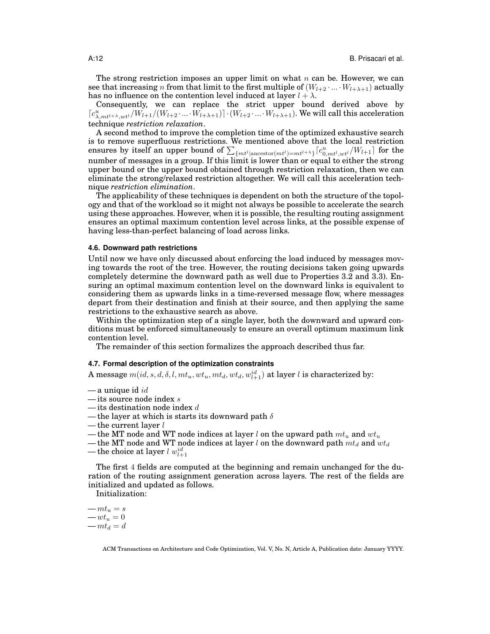The strong restriction imposes an upper limit on what  $n$  can be. However, we can see that increasing n from that limit to the first multiple of  $(W_{l+2} \cdot ... \cdot W_{l+\lambda+1})$  actually has no influence on the contention level induced at layer  $l + \lambda$ .

Consequently, we can replace the strict upper bound derived above by  $\lceil c_{\lambda,mt^{l+\lambda},wt}^u/W_{l+1}/(W_{l+2}\cdot...\cdot W_{l+\lambda+1})\rceil\cdot(W_{l+2}\cdot...\cdot W_{l+\lambda+1})$ . We will call this acceleration technique *restriction relaxation*.

A second method to improve the completion time of the optimized exhaustive search is to remove superfluous restrictions. We mentioned above that the local restriction ensures by itself an upper bound of  $\sum_{\{mt^l | \text{ancestor}(mt^l)=mt^{l+\lambda}\}}\lceil c^u_{0,mt^l,wt^l}/W_{l+1}\rceil$  for the number of messages in a group. If this limit is lower than or equal to either the strong upper bound or the upper bound obtained through restriction relaxation, then we can eliminate the strong/relaxed restriction altogether. We will call this acceleration technique *restriction elimination*.

The applicability of these techniques is dependent on both the structure of the topology and that of the workload so it might not always be possible to accelerate the search using these approaches. However, when it is possible, the resulting routing assignment ensures an optimal maximum contention level across links, at the possible expense of having less-than-perfect balancing of load across links.

#### **4.6. Downward path restrictions**

Until now we have only discussed about enforcing the load induced by messages moving towards the root of the tree. However, the routing decisions taken going upwards completely determine the downward path as well due to Properties 3.2 and 3.3). Ensuring an optimal maximum contention level on the downward links is equivalent to considering them as upwards links in a time-reversed message flow, where messages depart from their destination and finish at their source, and then applying the same restrictions to the exhaustive search as above.

Within the optimization step of a single layer, both the downward and upward conditions must be enforced simultaneously to ensure an overall optimum maximum link contention level.

The remainder of this section formalizes the approach described thus far.

## **4.7. Formal description of the optimization constraints**

A message  $m(id,s,d,\delta,l, mt_u, wt_u, mt_d, wt_d, w^{id}_{l+1})$  at layer  $l$  is characterized by:

- a unique id  $id$
- $-$  its source node index  $s$
- its destination node index  $d$
- the layer at which is starts its downward path  $\delta$
- the current layer  $l$
- the MT node and WT node indices at layer l on the upward path  $m t_u$  and  $w t_u$
- the MT node and WT node indices at layer l on the downward path  $m t_d$  and  $w t_d$
- the choice at layer  $l$   $w_{l+1}^{id}$

The first 4 fields are computed at the beginning and remain unchanged for the duration of the routing assignment generation across layers. The rest of the fields are initialized and updated as follows.

Initialization:

 $-mt_u = s$  $-wt_u = 0$  $-mt_d = d$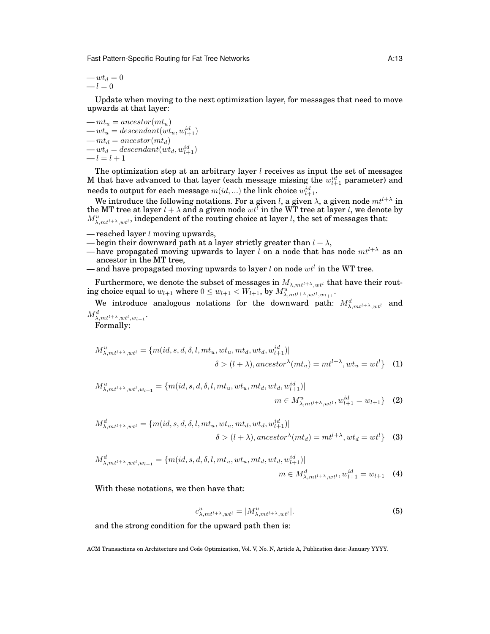Fast Pattern-Specific Routing for Fat Tree Networks **A:13** A:13

 $-wt_d = 0$  $-l=0$ 

Update when moving to the next optimization layer, for messages that need to move upwards at that layer:

$$
\begin{array}{l} -mt_u = ancestor(mt_u) \\ -wt_u = descendant(wt_u, w^{id}_{l+1}) \\ -mt_d = ancestor(mt_d) \\ -wt_d = descendant(wt_d, w^{id}_{l+1}) \\ -l = l+1 \end{array}
$$

The optimization step at an arbitrary layer  $l$  receives as input the set of messages M that have advanced to that layer (each message missing the  $w_{l+1}^{id}$  parameter) and  ${\rm needs\ to\ output\ for\ each\ message}\ m(id,...)$  the link choice  $w_{l+1}^{id}.$ 

We introduce the following notations. For a given l, a given  $\lambda$ , a given node  $m t^{l+\lambda}$  in the MT tree at layer  $l + \lambda$  and a given node  $wt^{\bar{l}}$  in the WT tree at layer  $l$ , we denote by  $M^u_{\lambda,mt^{l+\lambda},wt^{l}}$ , independent of the routing choice at layer  $l$ , the set of messages that:

 $-$  reached layer  $l$  moving upwards,

- begin their downward path at a layer strictly greater than  $l + \lambda$ ,
- have propagated moving upwards to layer l on a node that has node  $m t^{l+\lambda}$  as an ancestor in the MT tree,
- and have propagated moving upwards to layer  $l$  on node  $wt^l$  in the WT tree.

Furthermore, we denote the subset of messages in  $M_{\lambda,mt^{l+\lambda},wt^{l}}$  that have their routing choice equal to  $w_{l+1}$  where  $0 \leq w_{l+1} < W_{l+1}$ , by  $M^{u}_{\lambda, mt^l, w_l, wt^l, w_{l+1}}$ .

We introduce analogous notations for the downward path:  $M_{\lambda,mt^{l+\lambda},wt^{l}}^{d}$  and  $M^d_{\lambda, m t^{l+\lambda}, wt^l, w_{l+1}}.$ 

Formally:

$$
M_{\lambda, mt^{l+\lambda}, wt^{l}}^{u} = \{m(id, s, d, \delta, l, mt_{u}, wt_{u}, mt_{d}, wt_{d}, wt_{d+1})| \newline \delta > (l+\lambda), ancestor^{\lambda}(mt_{u}) = mt^{l+\lambda}, wt_{u} = wt^{l}\}
$$
 (1)

 $M_{\lambda, m t^{l + \lambda}, w t^{l}, w_{l + 1}}^{u} = \{m(id, s, d, \delta, l, mt_{u}, wt_{u}, mt_{d}, wt_{d}, w_{l + 1}^{id}))|$ 

$$
m \in M^u_{\lambda, mt^{l+\lambda}, wt^l}, w^{id}_{l+1} = w_{l+1} \} \quad (2)
$$

$$
M_{\lambda, mt^{l+\lambda}, wt^{l}}^{d} = \{m(id, s, d, \delta, l, mt_u, wt_u, mt_d, wt_d, w_{l+1}^{id})| \newline \delta > (l+\lambda), ancestor^{\lambda}(mt_d) = mt^{l+\lambda}, wt_d = wt^l\}
$$
(3)

$$
M_{\lambda, mt^{l+\lambda}, wt^{l}, w_{l+1}}^{d} = \{m(id, s, d, \delta, l, mt_u, wt_u, mt_d, wt_d, w_{l+1}^{id})| \newline m \in M_{\lambda, mt^{l+\lambda}, wt^{l}}, wt^{l} \}
$$
\n(4)

With these notations, we then have that:

$$
c_{\lambda, mt^{l+\lambda}, wt^{l}}^{u} = |M_{\lambda, mt^{l+\lambda}, wt^{l}}^{u}|.
$$
\n
$$
(5)
$$

and the strong condition for the upward path then is: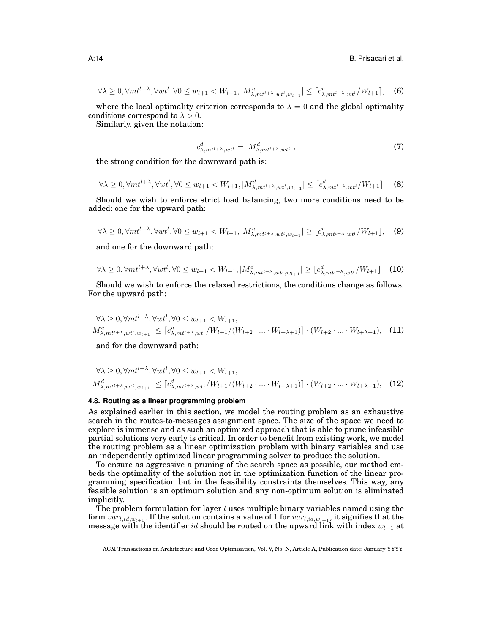$$
\forall \lambda \geq 0, \forall m t^{l+\lambda}, \forall wt^{l}, \forall 0 \leq w_{l+1} < W_{l+1}, |M^u_{\lambda, mt^{l+\lambda}, wt^{l}, w_{l+1}}| \leq \lceil c^u_{\lambda, mt^{l+\lambda}, wt^{l}} / W_{l+1} \rceil, \tag{6}
$$

where the local optimality criterion corresponds to  $\lambda = 0$  and the global optimality conditions correspond to  $\lambda > 0$ .

Similarly, given the notation:

$$
c_{\lambda, mt^{l+\lambda}, wt^{l}}^d = |M_{\lambda, mt^{l+\lambda}, wt^{l}}^d|,
$$
\n(7)

the strong condition for the downward path is:

$$
\forall \lambda \ge 0, \forall m t^{l+\lambda}, \forall wt^{l}, \forall 0 \le w_{l+1} < W_{l+1}, |M_{\lambda, mt^{l+\lambda}, wt^{l}, w_{l+1}}^d| \le \lceil c_{\lambda, mt^{l+\lambda}, wt^{l}}^d / W_{l+1} \rceil \tag{8}
$$

Should we wish to enforce strict load balancing, two more conditions need to be added: one for the upward path:

$$
\forall \lambda \geq 0, \forall m t^{l+\lambda}, \forall wt^{l}, \forall 0 \leq w_{l+1} < W_{l+1}, |M_{\lambda, mt^{l+\lambda}, wt^{l}, w_{l+1}}^{u}| \geq \lfloor c_{\lambda, mt^{l+\lambda}, wt^{l}}^{u}/W_{l+1} \rfloor, \tag{9}
$$

and one for the downward path:

$$
\forall \lambda \ge 0, \forall m t^{l+\lambda}, \forall wt^{l}, \forall 0 \le w_{l+1} < W_{l+1}, |M_{\lambda, mt^{l+\lambda}, wt^{l}, w_{l+1}}^d| \ge \lfloor c_{\lambda, mt^{l+\lambda}, wt^{l}}^d / W_{l+1} \rfloor \tag{10}
$$

Should we wish to enforce the relaxed restrictions, the conditions change as follows. For the upward path:

$$
\forall \lambda \ge 0, \forall m t^{l+\lambda}, \forall wt^{l}, \forall 0 \le w_{l+1} < W_{l+1}, \\
|M_{\lambda, mt^{l+\lambda}, wt^{l}, w_{l+1}}^{u}| \le \lceil c_{\lambda, mt^{l+\lambda}, wt^{l}}^{u} / W_{l+1} / (W_{l+2} \cdot \ldots \cdot W_{l+\lambda+1}) \rceil \cdot (W_{l+2} \cdot \ldots \cdot W_{l+\lambda+1}), \quad (11)
$$

and for the downward path:

$$
\forall \lambda \ge 0, \forall m t^{l+\lambda}, \forall wt^{l}, \forall 0 \le w_{l+1} < W_{l+1},
$$
\n
$$
|M_{\lambda, mt^{l+\lambda}, wt^{l}, w_{l+1}}| \le [c_{\lambda, mt^{l+\lambda}, wt^{l}}^{d} / W_{l+1} / (W_{l+2} \cdot \ldots \cdot W_{l+\lambda+1})] \cdot (W_{l+2} \cdot \ldots \cdot W_{l+\lambda+1}), \quad (12)
$$

#### **4.8. Routing as a linear programming problem**

As explained earlier in this section, we model the routing problem as an exhaustive search in the routes-to-messages assignment space. The size of the space we need to explore is immense and as such an optimized approach that is able to prune infeasible partial solutions very early is critical. In order to benefit from existing work, we model the routing problem as a linear optimization problem with binary variables and use an independently optimized linear programming solver to produce the solution.

To ensure as aggressive a pruning of the search space as possible, our method embeds the optimality of the solution not in the optimization function of the linear programming specification but in the feasibility constraints themselves. This way, any feasible solution is an optimum solution and any non-optimum solution is eliminated implicitly.

The problem formulation for layer  $l$  uses multiple binary variables named using the form  $var_{l,id,w_{l+1}}$ . If the solution contains a value of 1 for  $var_{l,id,w_{l+1}}$ , it signifies that the message with the identifier id should be routed on the upward link with index  $w_{l+1}$  at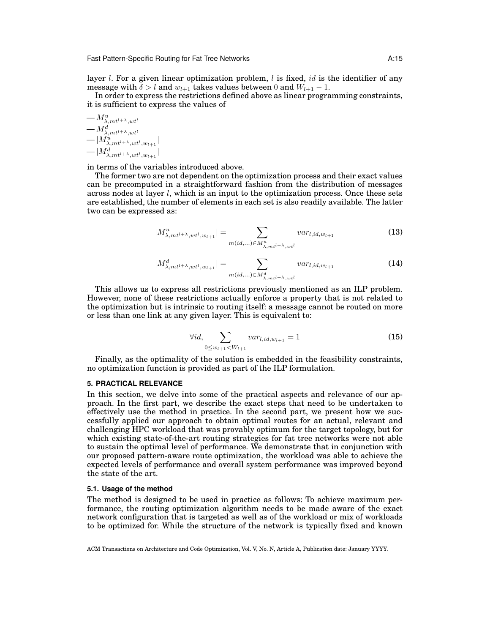Fast Pattern-Specific Routing for Fat Tree Networks **A:15** A:15

layer  $l$ . For a given linear optimization problem,  $l$  is fixed,  $id$  is the identifier of any message with  $\delta > l$  and  $w_{l+1}$  takes values between 0 and  $W_{l+1} - 1$ .

In order to express the restrictions defined above as linear programming constraints, it is sufficient to express the values of

$$
- M^u_{\lambda, mt^{l+\lambda}, wt^l} - M^d_{\lambda, mt^{l+\lambda}, wt^l} - |M^u_{\lambda, mt^{l+\lambda}, ut^l, w_{l+1}}| - |M^d_{\lambda, mt^{l+\lambda}, ut^l, w_{l+1}}|
$$

in terms of the variables introduced above.

The former two are not dependent on the optimization process and their exact values can be precomputed in a straightforward fashion from the distribution of messages across nodes at layer  $l$ , which is an input to the optimization process. Once these sets are established, the number of elements in each set is also readily available. The latter two can be expressed as:

$$
|M_{\lambda,mt^{l+\lambda},wt^{l},w_{l+1}}^{u}| = \sum_{m(id,\ldots)\in M_{\lambda,mt^{l+\lambda},wt^{l}}^{u}} var_{l,id,w_{l+1}}
$$
(13)

$$
|M_{\lambda,mt^{l+\lambda},wt^{l},w_{l+1}}^d| = \sum_{m(id,\ldots)\in M_{\lambda,mt^{l+\lambda},wt^{l}}^d} var_{l,id,w_{l+1}}
$$
(14)

This allows us to express all restrictions previously mentioned as an ILP problem. However, none of these restrictions actually enforce a property that is not related to the optimization but is intrinsic to routing itself: a message cannot be routed on more or less than one link at any given layer. This is equivalent to:

$$
\forall id, \sum_{0 \le w_{l+1} < W_{l+1}} var_{l,id,w_{l+1}} = 1 \tag{15}
$$

Finally, as the optimality of the solution is embedded in the feasibility constraints, no optimization function is provided as part of the ILP formulation.

## **5. PRACTICAL RELEVANCE**

In this section, we delve into some of the practical aspects and relevance of our approach. In the first part, we describe the exact steps that need to be undertaken to effectively use the method in practice. In the second part, we present how we successfully applied our approach to obtain optimal routes for an actual, relevant and challenging HPC workload that was provably optimum for the target topology, but for which existing state-of-the-art routing strategies for fat tree networks were not able to sustain the optimal level of performance. We demonstrate that in conjunction with our proposed pattern-aware route optimization, the workload was able to achieve the expected levels of performance and overall system performance was improved beyond the state of the art.

### **5.1. Usage of the method**

The method is designed to be used in practice as follows: To achieve maximum performance, the routing optimization algorithm needs to be made aware of the exact network configuration that is targeted as well as of the workload or mix of workloads to be optimized for. While the structure of the network is typically fixed and known

ACM Transactions on Architecture and Code Optimization, Vol. V, No. N, Article A, Publication date: January YYYY.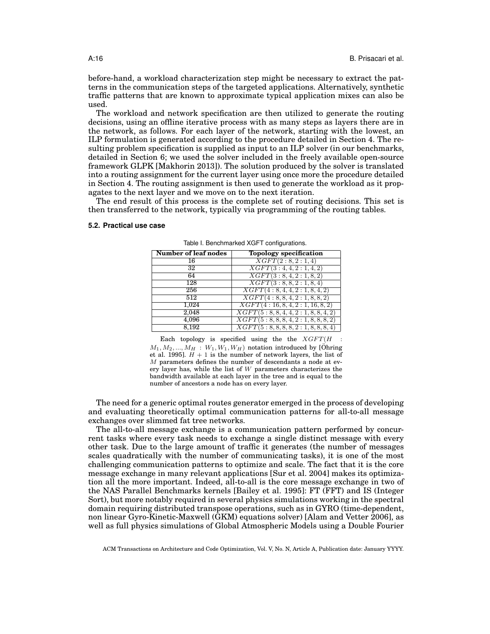before-hand, a workload characterization step might be necessary to extract the patterns in the communication steps of the targeted applications. Alternatively, synthetic traffic patterns that are known to approximate typical application mixes can also be used.

The workload and network specification are then utilized to generate the routing decisions, using an offline iterative process with as many steps as layers there are in the network, as follows. For each layer of the network, starting with the lowest, an ILP formulation is generated according to the procedure detailed in Section 4. The resulting problem specification is supplied as input to an ILP solver (in our benchmarks, detailed in Section 6; we used the solver included in the freely available open-source framework GLPK [Makhorin 2013]). The solution produced by the solver is translated into a routing assignment for the current layer using once more the procedure detailed in Section 4. The routing assignment is then used to generate the workload as it propagates to the next layer and we move on to the next iteration.

The end result of this process is the complete set of routing decisions. This set is then transferred to the network, typically via programming of the routing tables.

#### **5.2. Practical use case**

| Number of leaf nodes | <b>Topology specification</b>            |
|----------------------|------------------------------------------|
| 16                   | $\overline{XGFT(2:8,2:1,4)}$             |
| 32                   | XGFT(3:4,4,2:1,4,2)                      |
| 64                   | $\overline{XGFT(3:8,4,2:1,8,2)}$         |
| 128                  | XGFT(3:8, 8, 2:1, 8, 4)                  |
| 256                  | XGFT(4:8,4,4,2:1,8,4,2)                  |
| $\overline{512}$     | XGFT(4:8, 8, 4, 2: 1, 8, 8, 2)           |
| 1,024                | XGFT(4:16, 8, 4, 2:1, 16, 8, 2)          |
| 2,048                | $\overline{XGFT(5:8,8,4,4,2:1,8,8,4,2)}$ |
| 4,096                | $\overline{XGFT(5:8,8,8,4,2:1,8,8,8,2)}$ |
| 8.192                | XGFT(5: 8, 8, 8, 8, 2: 1, 8, 8, 8, 4)    |

Table I. Benchmarked XGFT configurations.

Each topology is specified using the the  $XGFT(H)$  $M_1, M_2, ..., M_H$  :  $W_1, W_1, W_H$ ) notation introduced by [Öhring et al. 1995].  $H + 1$  is the number of network layers, the list of  $M$  parameters defines the number of descendants a node at every layer has, while the list of W parameters characterizes the bandwidth available at each layer in the tree and is equal to the number of ancestors a node has on every layer.

The need for a generic optimal routes generator emerged in the process of developing and evaluating theoretically optimal communication patterns for all-to-all message exchanges over slimmed fat tree networks.

The all-to-all message exchange is a communication pattern performed by concurrent tasks where every task needs to exchange a single distinct message with every other task. Due to the large amount of traffic it generates (the number of messages scales quadratically with the number of communicating tasks), it is one of the most challenging communication patterns to optimize and scale. The fact that it is the core message exchange in many relevant applications [Sur et al. 2004] makes its optimization all the more important. Indeed, all-to-all is the core message exchange in two of the NAS Parallel Benchmarks kernels [Bailey et al. 1995]: FT (FFT) and IS (Integer Sort), but more notably required in several physics simulations working in the spectral domain requiring distributed transpose operations, such as in GYRO (time-dependent, non linear Gyro-Kinetic-Maxwell (GKM) equations solver) [Alam and Vetter 2006], as well as full physics simulations of Global Atmospheric Models using a Double Fourier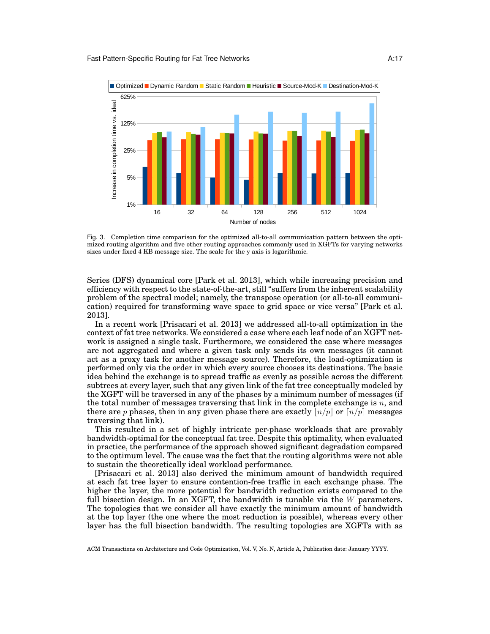

Fig. 3. Completion time comparison for the optimized all-to-all communication pattern between the optimized routing algorithm and five other routing approaches commonly used in XGFTs for varying networks sizes under fixed 4 KB message size. The scale for the y axis is logarithmic.

Series (DFS) dynamical core [Park et al. 2013], which while increasing precision and efficiency with respect to the state-of-the-art, still "suffers from the inherent scalability problem of the spectral model; namely, the transpose operation (or all-to-all communication) required for transforming wave space to grid space or vice versa" [Park et al. 2013].

In a recent work [Prisacari et al. 2013] we addressed all-to-all optimization in the context of fat tree networks. We considered a case where each leaf node of an XGFT network is assigned a single task. Furthermore, we considered the case where messages are not aggregated and where a given task only sends its own messages (it cannot act as a proxy task for another message source). Therefore, the load-optimization is performed only via the order in which every source chooses its destinations. The basic idea behind the exchange is to spread traffic as evenly as possible across the different subtrees at every layer, such that any given link of the fat tree conceptually modeled by the XGFT will be traversed in any of the phases by a minimum number of messages (if the total number of messages traversing that link in the complete exchange is  $n$ , and there are p phases, then in any given phase there are exactly  $\vert n/p \vert$  or  $\lceil n/p \rceil$  messages traversing that link).

This resulted in a set of highly intricate per-phase workloads that are provably bandwidth-optimal for the conceptual fat tree. Despite this optimality, when evaluated in practice, the performance of the approach showed significant degradation compared to the optimum level. The cause was the fact that the routing algorithms were not able to sustain the theoretically ideal workload performance.

[Prisacari et al. 2013] also derived the minimum amount of bandwidth required at each fat tree layer to ensure contention-free traffic in each exchange phase. The higher the layer, the more potential for bandwidth reduction exists compared to the full bisection design. In an XGFT, the bandwidth is tunable via the  $W$  parameters. The topologies that we consider all have exactly the minimum amount of bandwidth at the top layer (the one where the most reduction is possible), whereas every other layer has the full bisection bandwidth. The resulting topologies are XGFTs with as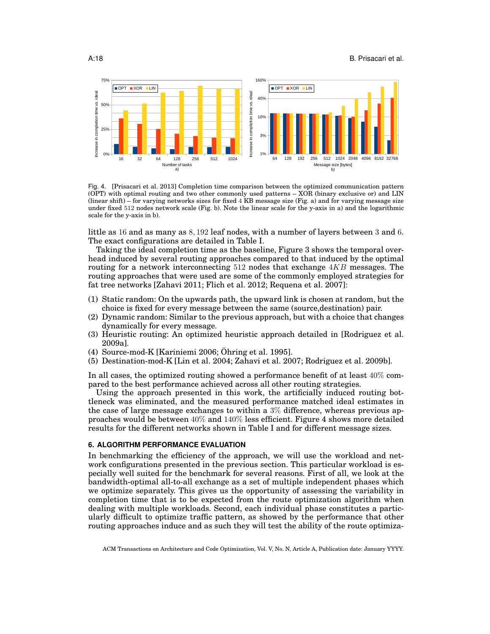

Fig. 4. [Prisacari et al. 2013] Completion time comparison between the optimized communication pattern (OPT) with optimal routing and two other commonly used patterns – XOR (binary exclusive or) and LIN (linear shift) – for varying networks sizes for fixed 4 KB message size (Fig. a) and for varying message size under fixed 512 nodes network scale (Fig. b). Note the linear scale for the y-axis in a) and the logarithmic scale for the y-axis in b).

little as 16 and as many as 8, 192 leaf nodes, with a number of layers between 3 and 6. The exact configurations are detailed in Table I.

Taking the ideal completion time as the baseline, Figure 3 shows the temporal overhead induced by several routing approaches compared to that induced by the optimal routing for a network interconnecting  $512$  nodes that exchange  $4KB$  messages. The routing approaches that were used are some of the commonly employed strategies for fat tree networks [Zahavi 2011; Flich et al. 2012; Requena et al. 2007]:

- (1) Static random: On the upwards path, the upward link is chosen at random, but the choice is fixed for every message between the same (source,destination) pair.
- (2) Dynamic random: Similar to the previous approach, but with a choice that changes dynamically for every message.
- (3) Heuristic routing: An optimized heuristic approach detailed in [Rodriguez et al. 2009a].
- (4) Source-mod-K [Kariniemi 2006;  $\ddot{O}$ hring et al. 1995].
- (5) Destination-mod-K [Lin et al. 2004; Zahavi et al. 2007; Rodriguez et al. 2009b].

In all cases, the optimized routing showed a performance benefit of at least 40% compared to the best performance achieved across all other routing strategies.

Using the approach presented in this work, the artificially induced routing bottleneck was eliminated, and the measured performance matched ideal estimates in the case of large message exchanges to within a 3% difference, whereas previous approaches would be between 40% and 140% less efficient. Figure 4 shows more detailed results for the different networks shown in Table I and for different message sizes.

# **6. ALGORITHM PERFORMANCE EVALUATION**

In benchmarking the efficiency of the approach, we will use the workload and network configurations presented in the previous section. This particular workload is especially well suited for the benchmark for several reasons. First of all, we look at the bandwidth-optimal all-to-all exchange as a set of multiple independent phases which we optimize separately. This gives us the opportunity of assessing the variability in completion time that is to be expected from the route optimization algorithm when dealing with multiple workloads. Second, each individual phase constitutes a particularly difficult to optimize traffic pattern, as showed by the performance that other routing approaches induce and as such they will test the ability of the route optimiza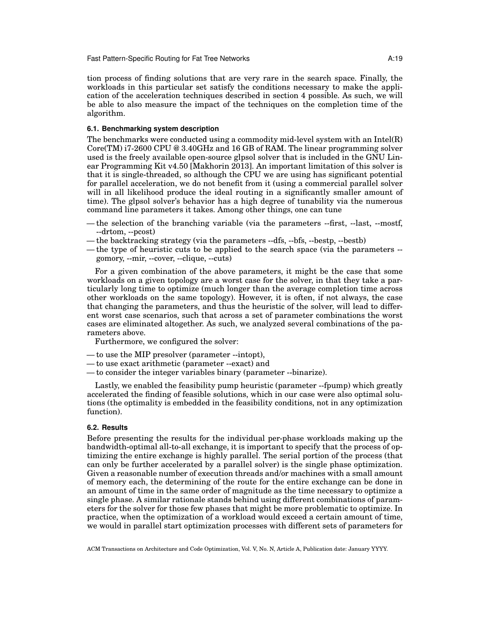Fast Pattern-Specific Routing for Fat Tree Networks **A:19** A:19

tion process of finding solutions that are very rare in the search space. Finally, the workloads in this particular set satisfy the conditions necessary to make the application of the acceleration techniques described in section 4 possible. As such, we will be able to also measure the impact of the techniques on the completion time of the algorithm.

## **6.1. Benchmarking system description**

The benchmarks were conducted using a commodity mid-level system with an Intel(R) Core(TM) i7-2600 CPU @ 3.40GHz and 16 GB of RAM. The linear programming solver used is the freely available open-source glpsol solver that is included in the GNU Linear Programming Kit v4.50 [Makhorin 2013]. An important limitation of this solver is that it is single-threaded, so although the CPU we are using has significant potential for parallel acceleration, we do not benefit from it (using a commercial parallel solver will in all likelihood produce the ideal routing in a significantly smaller amount of time). The glpsol solver's behavior has a high degree of tunability via the numerous command line parameters it takes. Among other things, one can tune

- the selection of the branching variable (via the parameters --first, --last, --mostf, --drtom, --pcost)
- the backtracking strategy (via the parameters --dfs, --bfs, --bestp, --bestb)
- the type of heuristic cuts to be applied to the search space (via the parameters gomory, --mir, --cover, --clique, --cuts)

For a given combination of the above parameters, it might be the case that some workloads on a given topology are a worst case for the solver, in that they take a particularly long time to optimize (much longer than the average completion time across other workloads on the same topology). However, it is often, if not always, the case that changing the parameters, and thus the heuristic of the solver, will lead to different worst case scenarios, such that across a set of parameter combinations the worst cases are eliminated altogether. As such, we analyzed several combinations of the parameters above.

Furthermore, we configured the solver:

- to use the MIP presolver (parameter --intopt),
- to use exact arithmetic (parameter --exact) and
- to consider the integer variables binary (parameter --binarize).

Lastly, we enabled the feasibility pump heuristic (parameter --fpump) which greatly accelerated the finding of feasible solutions, which in our case were also optimal solutions (the optimality is embedded in the feasibility conditions, not in any optimization function).

## **6.2. Results**

Before presenting the results for the individual per-phase workloads making up the bandwidth-optimal all-to-all exchange, it is important to specify that the process of optimizing the entire exchange is highly parallel. The serial portion of the process (that can only be further accelerated by a parallel solver) is the single phase optimization. Given a reasonable number of execution threads and/or machines with a small amount of memory each, the determining of the route for the entire exchange can be done in an amount of time in the same order of magnitude as the time necessary to optimize a single phase. A similar rationale stands behind using different combinations of parameters for the solver for those few phases that might be more problematic to optimize. In practice, when the optimization of a workload would exceed a certain amount of time, we would in parallel start optimization processes with different sets of parameters for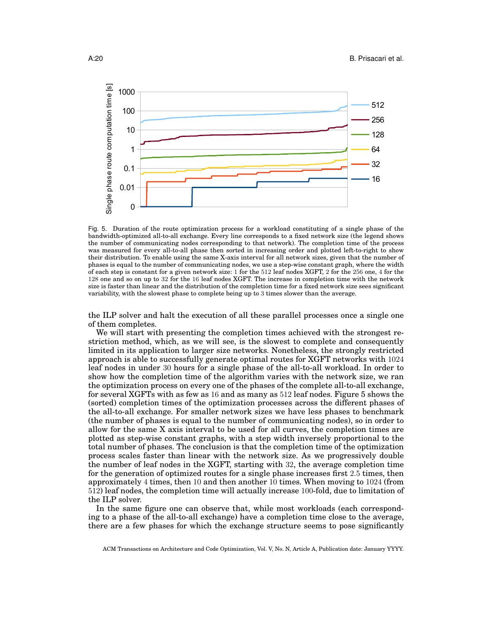

Fig. 5. Duration of the route optimization process for a workload constituting of a single phase of the bandwidth-optimized all-to-all exchange. Every line corresponds to a fixed network size (the legend shows the number of communicating nodes corresponding to that network). The completion time of the process was measured for every all-to-all phase then sorted in increasing order and plotted left-to-right to show their distribution. To enable using the same X-axis interval for all network sizes, given that the number of phases is equal to the number of communicating nodes, we use a step-wise constant graph, where the width of each step is constant for a given network size: 1 for the 512 leaf nodes XGFT, 2 for the 256 one, 4 for the 128 one and so on up to 32 for the 16 leaf nodes XGFT. The increase in completion time with the network size is faster than linear and the distribution of the completion time for a fixed network size sees significant variability, with the slowest phase to complete being up to 3 times slower than the average.

the ILP solver and halt the execution of all these parallel processes once a single one of them completes.

We will start with presenting the completion times achieved with the strongest restriction method, which, as we will see, is the slowest to complete and consequently limited in its application to larger size networks. Nonetheless, the strongly restricted approach is able to successfully generate optimal routes for XGFT networks with 1024 leaf nodes in under 30 hours for a single phase of the all-to-all workload. In order to show how the completion time of the algorithm varies with the network size, we ran the optimization process on every one of the phases of the complete all-to-all exchange, for several XGFTs with as few as 16 and as many as 512 leaf nodes. Figure 5 shows the (sorted) completion times of the optimization processes across the different phases of the all-to-all exchange. For smaller network sizes we have less phases to benchmark (the number of phases is equal to the number of communicating nodes), so in order to allow for the same X axis interval to be used for all curves, the completion times are plotted as step-wise constant graphs, with a step width inversely proportional to the total number of phases. The conclusion is that the completion time of the optimization process scales faster than linear with the network size. As we progressively double the number of leaf nodes in the XGFT, starting with 32, the average completion time for the generation of optimized routes for a single phase increases first 2.5 times, then approximately 4 times, then 10 and then another 10 times. When moving to 1024 (from 512) leaf nodes, the completion time will actually increase 100-fold, due to limitation of the ILP solver.

In the same figure one can observe that, while most workloads (each corresponding to a phase of the all-to-all exchange) have a completion time close to the average, there are a few phases for which the exchange structure seems to pose significantly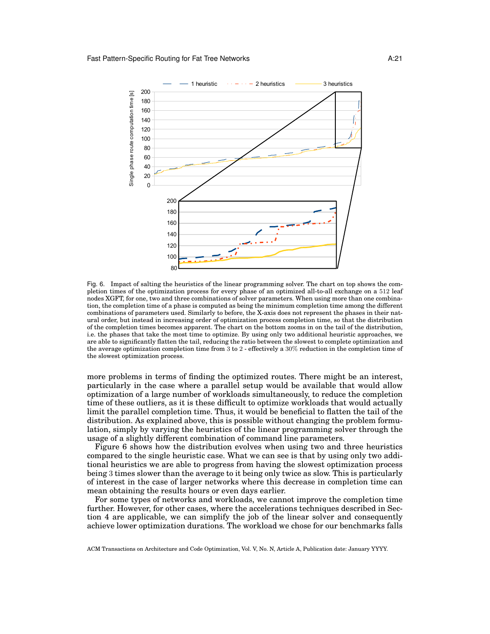

Fig. 6. Impact of salting the heuristics of the linear programming solver. The chart on top shows the completion times of the optimization process for every phase of an optimized all-to-all exchange on a 512 leaf nodes XGFT, for one, two and three combinations of solver parameters. When using more than one combination, the completion time of a phase is computed as being the minimum completion time among the different combinations of parameters used. Similarly to before, the X-axis does not represent the phases in their natural order, but instead in increasing order of optimization process completion time, so that the distribution of the completion times becomes apparent. The chart on the bottom zooms in on the tail of the distribution, i.e. the phases that take the most time to optimize. By using only two additional heuristic approaches, we are able to significantly flatten the tail, reducing the ratio between the slowest to complete optimization and the average optimization completion time from 3 to 2 - effectively a 30% reduction in the completion time of the slowest optimization process.

more problems in terms of finding the optimized routes. There might be an interest, particularly in the case where a parallel setup would be available that would allow optimization of a large number of workloads simultaneously, to reduce the completion time of these outliers, as it is these difficult to optimize workloads that would actually limit the parallel completion time. Thus, it would be beneficial to flatten the tail of the distribution. As explained above, this is possible without changing the problem formulation, simply by varying the heuristics of the linear programming solver through the usage of a slightly different combination of command line parameters.

Figure 6 shows how the distribution evolves when using two and three heuristics compared to the single heuristic case. What we can see is that by using only two additional heuristics we are able to progress from having the slowest optimization process being 3 times slower than the average to it being only twice as slow. This is particularly of interest in the case of larger networks where this decrease in completion time can mean obtaining the results hours or even days earlier.

For some types of networks and workloads, we cannot improve the completion time further. However, for other cases, where the accelerations techniques described in Section 4 are applicable, we can simplify the job of the linear solver and consequently achieve lower optimization durations. The workload we chose for our benchmarks falls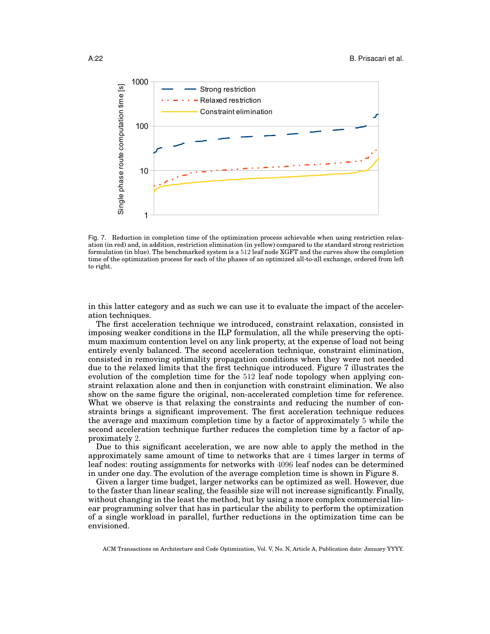

Fig. 7. Reduction in completion time of the optimization process achievable when using restriction relaxation (in red) and, in addition, restriction elimination (in yellow) compared to the standard strong restriction formulation (in blue). The benchmarked system is a 512 leaf node XGFT and the curves show the completion time of the optimization process for each of the phases of an optimized all-to-all exchange, ordered from left to right.

in this latter category and as such we can use it to evaluate the impact of the acceleration techniques.

The first acceleration technique we introduced, constraint relaxation, consisted in imposing weaker conditions in the ILP formulation, all the while preserving the optimum maximum contention level on any link property, at the expense of load not being entirely evenly balanced. The second acceleration technique, constraint elimination, consisted in removing optimality propagation conditions when they were not needed due to the relaxed limits that the first technique introduced. Figure 7 illustrates the evolution of the completion time for the 512 leaf node topology when applying constraint relaxation alone and then in conjunction with constraint elimination. We also show on the same figure the original, non-accelerated completion time for reference. What we observe is that relaxing the constraints and reducing the number of constraints brings a significant improvement. The first acceleration technique reduces the average and maximum completion time by a factor of approximately 5 while the second acceleration technique further reduces the completion time by a factor of approximately 2.

Due to this significant acceleration, we are now able to apply the method in the approximately same amount of time to networks that are 4 times larger in terms of leaf nodes: routing assignments for networks with 4096 leaf nodes can be determined in under one day. The evolution of the average completion time is shown in Figure 8.

Given a larger time budget, larger networks can be optimized as well. However, due to the faster than linear scaling, the feasible size will not increase significantly. Finally, without changing in the least the method, but by using a more complex commercial linear programming solver that has in particular the ability to perform the optimization of a single workload in parallel, further reductions in the optimization time can be envisioned.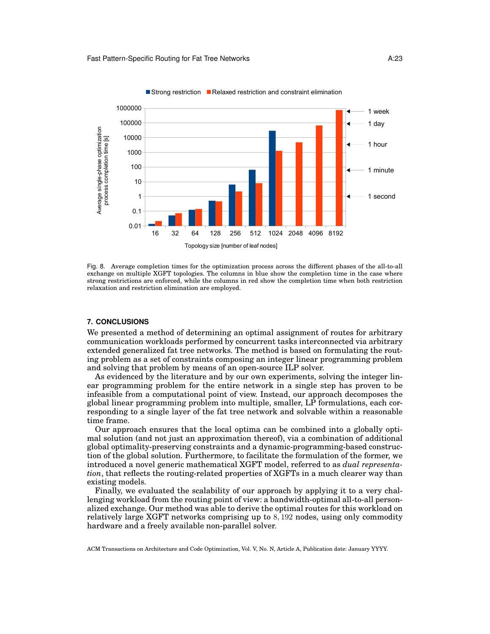

■ Strong restriction ■ Relaxed restriction and constraint elimination

Fig. 8. Average completion times for the optimization process across the different phases of the all-to-all exchange on multiple XGFT topologies. The columns in blue show the completion time in the case where strong restrictions are enforced, while the columns in red show the completion time when both restriction relaxation and restriction elimination are employed.

# **7. CONCLUSIONS**

We presented a method of determining an optimal assignment of routes for arbitrary communication workloads performed by concurrent tasks interconnected via arbitrary extended generalized fat tree networks. The method is based on formulating the routing problem as a set of constraints composing an integer linear programming problem and solving that problem by means of an open-source ILP solver.

As evidenced by the literature and by our own experiments, solving the integer linear programming problem for the entire network in a single step has proven to be infeasible from a computational point of view. Instead, our approach decomposes the global linear programming problem into multiple, smaller, LP formulations, each corresponding to a single layer of the fat tree network and solvable within a reasonable time frame.

Our approach ensures that the local optima can be combined into a globally optimal solution (and not just an approximation thereof), via a combination of additional global optimality-preserving constraints and a dynamic-programming-based construction of the global solution. Furthermore, to facilitate the formulation of the former, we introduced a novel generic mathematical XGFT model, referred to as *dual representation*, that reflects the routing-related properties of XGFTs in a much clearer way than existing models.

Finally, we evaluated the scalability of our approach by applying it to a very challenging workload from the routing point of view: a bandwidth-optimal all-to-all personalized exchange. Our method was able to derive the optimal routes for this workload on relatively large XGFT networks comprising up to 8, 192 nodes, using only commodity hardware and a freely available non-parallel solver.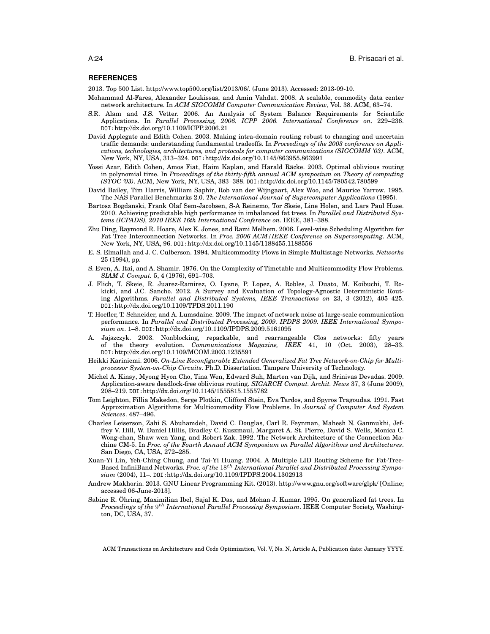#### **REFERENCES**

2013. Top 500 List. http://www.top500.org/list/2013/06/. (June 2013). Accessed: 2013-09-10.

- Mohammad Al-Fares, Alexander Loukissas, and Amin Vahdat. 2008. A scalable, commodity data center network architecture. In *ACM SIGCOMM Computer Communication Review*, Vol. 38. ACM, 63–74.
- S.R. Alam and J.S. Vetter. 2006. An Analysis of System Balance Requirements for Scientific Applications. In *Parallel Processing, 2006. ICPP 2006. International Conference on*. 229–236. DOI:http://dx.doi.org/10.1109/ICPP.2006.21
- David Applegate and Edith Cohen. 2003. Making intra-domain routing robust to changing and uncertain traffic demands: understanding fundamental tradeoffs. In *Proceedings of the 2003 conference on Applications, technologies, architectures, and protocols for computer communications (SIGCOMM '03)*. ACM, New York, NY, USA, 313–324. DOI:http://dx.doi.org/10.1145/863955.863991
- Yossi Azar, Edith Cohen, Amos Fiat, Haim Kaplan, and Harald Räcke. 2003. Optimal oblivious routing in polynomial time. In *Proceedings of the thirty-fifth annual ACM symposium on Theory of computing (STOC '03)*. ACM, New York, NY, USA, 383–388. DOI:http://dx.doi.org/10.1145/780542.780599
- David Bailey, Tim Harris, William Saphir, Rob van der Wijngaart, Alex Woo, and Maurice Yarrow. 1995. The NAS Parallel Benchmarks 2.0. *The International Journal of Supercomputer Applications* (1995).
- Bartosz Bogdanski, Frank Olaf Sem-Jacobsen, S-A Reinemo, Tor Skeie, Line Holen, and Lars Paul Huse. 2010. Achieving predictable high performance in imbalanced fat trees. In *Parallel and Distributed Systems (ICPADS), 2010 IEEE 16th International Conference on*. IEEE, 381–388.
- Zhu Ding, Raymond R. Hoare, Alex K. Jones, and Rami Melhem. 2006. Level-wise Scheduling Algorithm for Fat Tree Interconnection Networks. In *Proc. 2006 ACM/IEEE Conference on Supercomputing*. ACM, New York, NY, USA, 96. DOI:http://dx.doi.org/10.1145/1188455.1188556
- E. S. Elmallah and J. C. Culberson. 1994. Multicommodity Flows in Simple Multistage Networks. *Networks* 25 (1994), pp.
- S. Even, A. Itai, and A. Shamir. 1976. On the Complexity of Timetable and Multicommodity Flow Problems. *SIAM J. Comput.* 5, 4 (1976), 691–703.
- J. Flich, T. Skeie, R. Juarez-Ramirez, O. Lysne, P. Lopez, A. Robles, J. Duato, M. Koibuchi, T. Rokicki, and J.C. Sancho. 2012. A Survey and Evaluation of Topology-Agnostic Deterministic Routing Algorithms. *Parallel and Distributed Systems, IEEE Transactions on* 23, 3 (2012), 405–425. DOI:http://dx.doi.org/10.1109/TPDS.2011.190
- T. Hoefler, T. Schneider, and A. Lumsdaine. 2009. The impact of network noise at large-scale communication performance. In *Parallel and Distributed Processing, 2009. IPDPS 2009. IEEE International Symposium on*. 1–8. DOI:http://dx.doi.org/10.1109/IPDPS.2009.5161095
- A. Jajszczyk. 2003. Nonblocking, repackable, and rearrangeable Clos networks: fifty years of the theory evolution. *Communications Magazine, IEEE* 41, 10 (Oct. 2003), 28–33. DOI:http://dx.doi.org/10.1109/MCOM.2003.1235591
- Heikki Kariniemi. 2006. *On-Line Reconfigurable Extended Generalized Fat Tree Network-on-Chip for Multiprocessor System-on-Chip Circuits*. Ph.D. Dissertation. Tampere University of Technology.
- Michel A. Kinsy, Myong Hyon Cho, Tina Wen, Edward Suh, Marten van Dijk, and Srinivas Devadas. 2009. Application-aware deadlock-free oblivious routing. *SIGARCH Comput. Archit. News* 37, 3 (June 2009), 208–219. DOI:http://dx.doi.org/10.1145/1555815.1555782
- Tom Leighton, Fillia Makedon, Serge Plotkin, Clifford Stein, Eva Tardos, and Spyros Tragoudas. 1991. Fast Approximation Algorithms for Multicommodity Flow Problems. In *Journal of Computer And System Sciences*. 487–496.
- Charles Leiserson, Zahi S. Abuhamdeh, David C. Douglas, Carl R. Feynman, Mahesh N. Ganmukhi, Jeffrey V. Hill, W. Daniel Hillis, Bradley C. Kuszmaul, Margaret A. St. Pierre, David S. Wells, Monica C. Wong-chan, Shaw wen Yang, and Robert Zak. 1992. The Network Architecture of the Connection Machine CM-5. In *Proc. of the Fourth Annual ACM Symposium on Parallel Algorithms and Architectures*. San Diego, CA, USA, 272–285.
- Xuan-Yi Lin, Yeh-Ching Chung, and Tai-Yi Huang. 2004. A Multiple LID Routing Scheme for Fat-Tree-Based InfiniBand Networks. *Proc. of the* 18th *International Parallel and Distributed Processing Symposium* (2004), 11–. DOI:http://dx.doi.org/10.1109/IPDPS.2004.1302913
- Andrew Makhorin. 2013. GNU Linear Programming Kit. (2013). http://www.gnu.org/software/glpk/ [Online; accessed 06-June-2013].
- Sabine R. Ohring, Maximilian Ibel, Sajal K. Das, and Mohan J. Kumar. 1995. On generalized fat trees. In ¨ Proceedings of the 9<sup>th</sup> International Parallel Processing Symposium. IEEE Computer Society, Washington, DC, USA, 37.